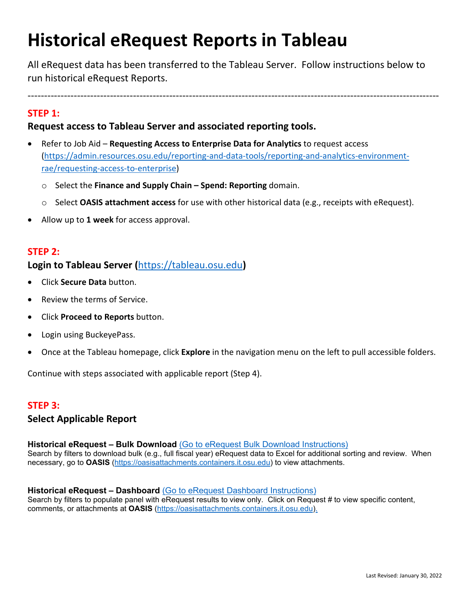# **Historical eRequest Reports in Tableau**

All eRequest data has been transferred to the Tableau Server. Follow instructions below to run historical eRequest Reports.

-----------------------------------------------------------------------------------------------------------------------------

# **STEP 1:**

# **Request access to Tableau Server and associated reporting tools.**

- Refer to Job Aid **Requesting Access to Enterprise Data for Analytics** to request access [\(https://admin.resources.osu.edu/reporting-and-data-tools/reporting-and-analytics-environment](https://admin.resources.osu.edu/reporting-and-data-tools/reporting-and-analytics-environment-rae/requesting-access-to-enterprise)[rae/requesting-access-to-enterprise\)](https://admin.resources.osu.edu/reporting-and-data-tools/reporting-and-analytics-environment-rae/requesting-access-to-enterprise)
	- o Select the **Finance and Supply Chain Spend: Reporting** domain.
	- o Select **OASIS attachment access** for use with other historical data (e.g., receipts with eRequest).
- Allow up to **1 week** for access approval.

# **STEP 2:**

# **Login to Tableau Server (**[https://tableau.osu.edu](https://tableau.osu.edu/)**)**

- Click **Secure Data** button.
- Review the terms of Service.
- Click **Proceed to Reports** button.
- Login using BuckeyePass.
- Once at the Tableau homepage, click **Explore** in the navigation menu on the left to pull accessible folders.

Continue with steps associated with applicable report (Step 4).

## **STEP 3:**

## **Select Applicable Report**

**Historical eRequest – Bulk Download** (Go to eRequest Bulk Download Instructions) Search by filters to download bulk (e.g., full fiscal year) eRequest data to Excel for additional sorting and review. When necessary, go to **OASIS** [\(https://oasisattachments.containers.it.osu.edu\)](https://oasisattachments.containers.it.osu.edu/) to view attachments.

#### **Historical eRequest – Dashboard** (Go to eRequest Dashboard Instructions)

Search by filters to populate panel with eRequest results to view only. Click on Request # to view specific content, comments, or attachments at **OASIS** [\(https://oasisattachments.containers.it.osu.edu\)](https://oasisattachments.containers.it.osu.edu/).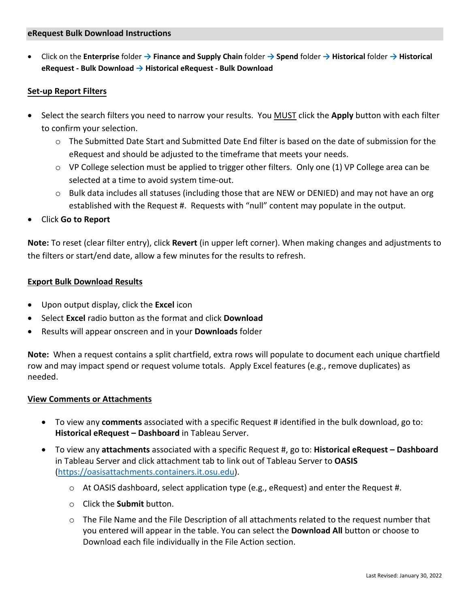• Click on the **Enterprise** folder **→ Finance and Supply Chain** folder **→ Spend** folder **→ Historical** folder **→ Historical eRequest - Bulk Download → Historical eRequest - Bulk Download**

#### **Set-up Report Filters**

- Select the search filters you need to narrow your results. You MUST click the **Apply** button with each filter to confirm your selection.
	- $\circ$  The Submitted Date Start and Submitted Date End filter is based on the date of submission for the eRequest and should be adjusted to the timeframe that meets your needs.
	- $\circ$  VP College selection must be applied to trigger other filters. Only one (1) VP College area can be selected at a time to avoid system time-out.
	- o Bulk data includes all statuses (including those that are NEW or DENIED) and may not have an org established with the Request #. Requests with "null" content may populate in the output.
- Click **Go to Report**

**Note:** To reset (clear filter entry), click **Revert** (in upper left corner). When making changes and adjustments to the filters or start/end date, allow a few minutes for the results to refresh.

#### **Export Bulk Download Results**

- Upon output display, click the **Excel** icon
- Select **Excel** radio button as the format and click **Download**
- Results will appear onscreen and in your **Downloads** folder

**Note:** When a request contains a split chartfield, extra rows will populate to document each unique chartfield row and may impact spend or request volume totals. Apply Excel features (e.g., remove duplicates) as needed.

#### **View Comments or Attachments**

- To view any **comments** associated with a specific Request # identified in the bulk download, go to: **Historical eRequest – Dashboard** in Tableau Server.
- To view any **attachments** associated with a specific Request #, go to: **Historical eRequest Dashboard** in Tableau Server and click attachment tab to link out of Tableau Server to **OASIS** [\(https://oasisattachments.containers.it.osu.edu\)](https://oasisattachments.containers.it.osu.edu/).
	- $\circ$  At OASIS dashboard, select application type (e.g., eRequest) and enter the Request #.
	- o Click the **Submit** button.
	- $\circ$  The File Name and the File Description of all attachments related to the request number that you entered will appear in the table. You can select the **Download All** button or choose to Download each file individually in the File Action section.